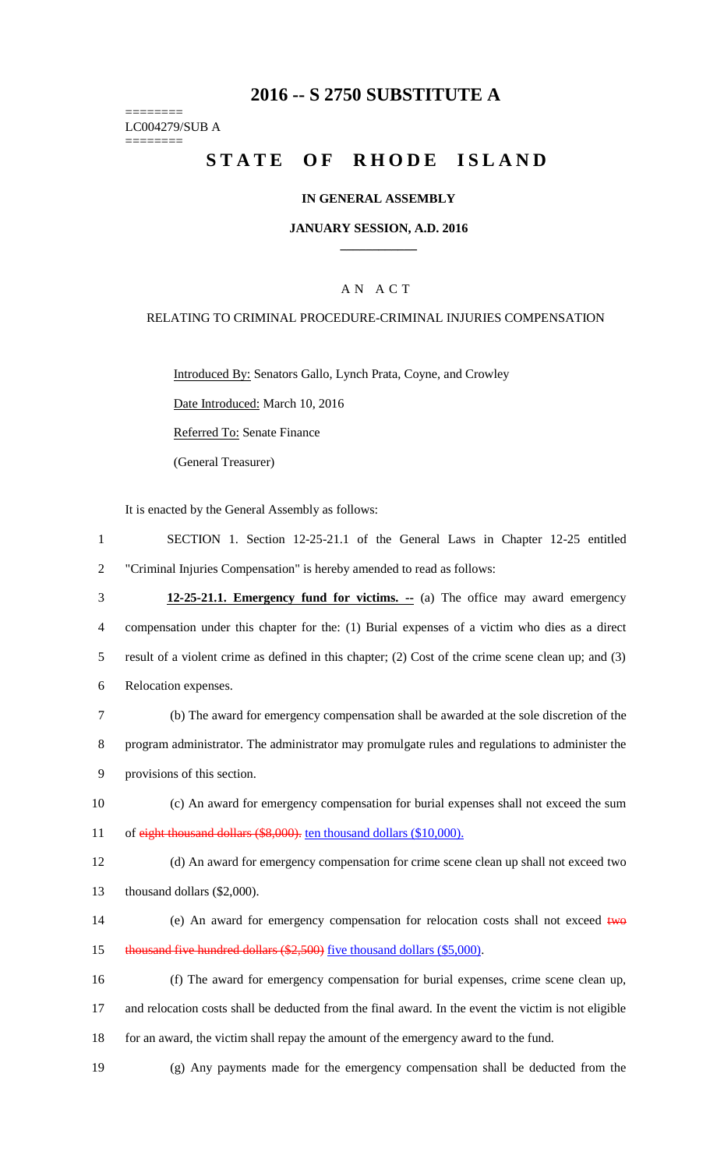# **2016 -- S 2750 SUBSTITUTE A**

======== LC004279/SUB A

========

# STATE OF RHODE ISLAND

### **IN GENERAL ASSEMBLY**

#### **JANUARY SESSION, A.D. 2016 \_\_\_\_\_\_\_\_\_\_\_\_**

### A N A C T

### RELATING TO CRIMINAL PROCEDURE-CRIMINAL INJURIES COMPENSATION

Introduced By: Senators Gallo, Lynch Prata, Coyne, and Crowley

Date Introduced: March 10, 2016

Referred To: Senate Finance

(General Treasurer)

It is enacted by the General Assembly as follows:

- 1 SECTION 1. Section 12-25-21.1 of the General Laws in Chapter 12-25 entitled 2 "Criminal Injuries Compensation" is hereby amended to read as follows:
- 3 **12-25-21.1. Emergency fund for victims. --** (a) The office may award emergency 4 compensation under this chapter for the: (1) Burial expenses of a victim who dies as a direct 5 result of a violent crime as defined in this chapter; (2) Cost of the crime scene clean up; and (3) 6 Relocation expenses. 7 (b) The award for emergency compensation shall be awarded at the sole discretion of the
- 8 program administrator. The administrator may promulgate rules and regulations to administer the 9 provisions of this section.
- 10 (c) An award for emergency compensation for burial expenses shall not exceed the sum 11 of eight thousand dollars (\$8,000). ten thousand dollars (\$10,000).
- 12 (d) An award for emergency compensation for crime scene clean up shall not exceed two 13 thousand dollars (\$2,000).
- 14 (e) An award for emergency compensation for relocation costs shall not exceed two 15 thousand five hundred dollars (\$2,500) five thousand dollars (\$5,000).
- 16 (f) The award for emergency compensation for burial expenses, crime scene clean up, 17 and relocation costs shall be deducted from the final award. In the event the victim is not eligible 18 for an award, the victim shall repay the amount of the emergency award to the fund.
- 19 (g) Any payments made for the emergency compensation shall be deducted from the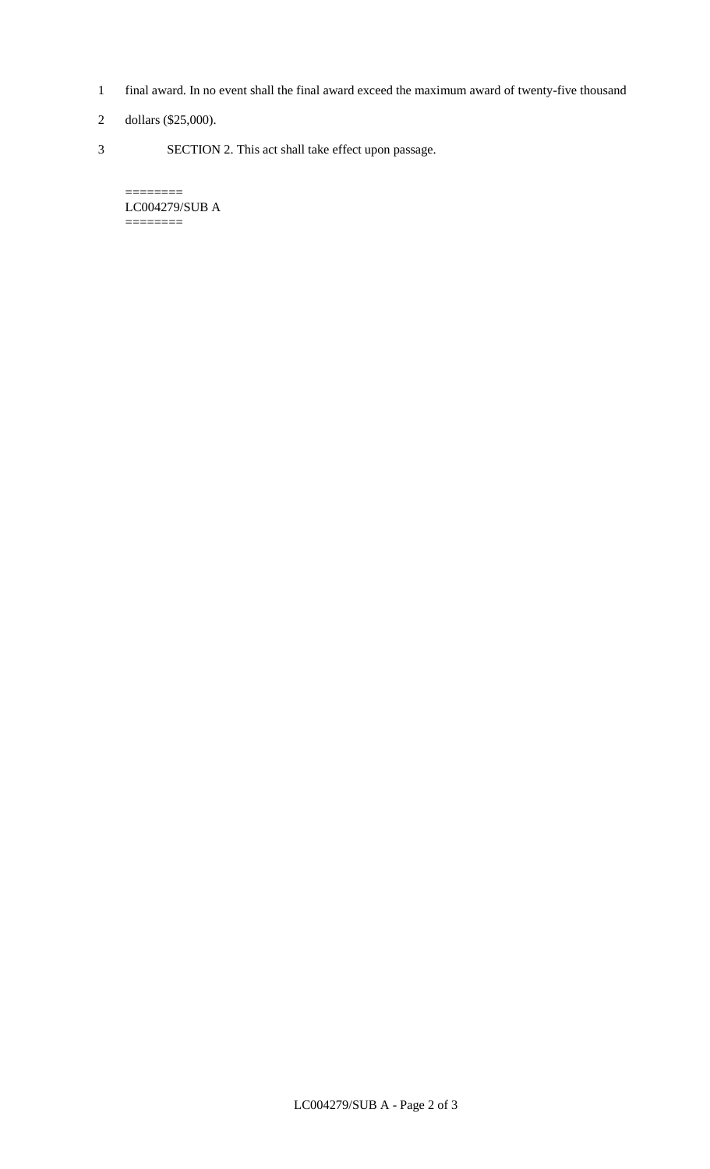- 1 final award. In no event shall the final award exceed the maximum award of twenty-five thousand
- 2 dollars (\$25,000).

 $=$ 

3 SECTION 2. This act shall take effect upon passage.

LC004279/SUB A ========